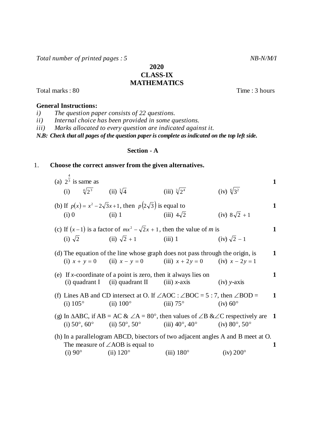Total number of printed pages : 5 NB-N/M/I

**2020 CLASS-IX MATHEMATICS**

Total marks : 80 Time : 3 hours

## **General Instructions:**

*i) The question paper consists of 22 questions.*

*ii) Internal choice has been provided in some questions.* 

*iii) Marks allocated to every question are indicated against it.*

*N.B: Check that all pages of the question paper is complete as indicated on the top left side.*

### **Section - A**

# 1. **Choose the correct answer from the given alternatives.**

|         |                                                               |                                                                                                                                                                     |                                                                                                                                                                                                                                                                                                             | 1                                                                                                                                                                                                                                                                                                                                                                                                                                                                                                                                                                                                                                                                                                                                                                                              |
|---------|---------------------------------------------------------------|---------------------------------------------------------------------------------------------------------------------------------------------------------------------|-------------------------------------------------------------------------------------------------------------------------------------------------------------------------------------------------------------------------------------------------------------------------------------------------------------|------------------------------------------------------------------------------------------------------------------------------------------------------------------------------------------------------------------------------------------------------------------------------------------------------------------------------------------------------------------------------------------------------------------------------------------------------------------------------------------------------------------------------------------------------------------------------------------------------------------------------------------------------------------------------------------------------------------------------------------------------------------------------------------------|
|         |                                                               |                                                                                                                                                                     | (iv) $\sqrt[6]{3^2}$                                                                                                                                                                                                                                                                                        |                                                                                                                                                                                                                                                                                                                                                                                                                                                                                                                                                                                                                                                                                                                                                                                                |
|         |                                                               |                                                                                                                                                                     |                                                                                                                                                                                                                                                                                                             | $\mathbf{1}$                                                                                                                                                                                                                                                                                                                                                                                                                                                                                                                                                                                                                                                                                                                                                                                   |
| $(i)$ 0 |                                                               |                                                                                                                                                                     |                                                                                                                                                                                                                                                                                                             |                                                                                                                                                                                                                                                                                                                                                                                                                                                                                                                                                                                                                                                                                                                                                                                                |
|         |                                                               |                                                                                                                                                                     |                                                                                                                                                                                                                                                                                                             | 1                                                                                                                                                                                                                                                                                                                                                                                                                                                                                                                                                                                                                                                                                                                                                                                              |
|         |                                                               |                                                                                                                                                                     |                                                                                                                                                                                                                                                                                                             |                                                                                                                                                                                                                                                                                                                                                                                                                                                                                                                                                                                                                                                                                                                                                                                                |
|         |                                                               |                                                                                                                                                                     |                                                                                                                                                                                                                                                                                                             | 1                                                                                                                                                                                                                                                                                                                                                                                                                                                                                                                                                                                                                                                                                                                                                                                              |
|         |                                                               |                                                                                                                                                                     |                                                                                                                                                                                                                                                                                                             |                                                                                                                                                                                                                                                                                                                                                                                                                                                                                                                                                                                                                                                                                                                                                                                                |
|         |                                                               |                                                                                                                                                                     | $(iv)$ y-axis                                                                                                                                                                                                                                                                                               | 1                                                                                                                                                                                                                                                                                                                                                                                                                                                                                                                                                                                                                                                                                                                                                                                              |
|         |                                                               |                                                                                                                                                                     |                                                                                                                                                                                                                                                                                                             | $\mathbf{1}$                                                                                                                                                                                                                                                                                                                                                                                                                                                                                                                                                                                                                                                                                                                                                                                   |
|         |                                                               |                                                                                                                                                                     |                                                                                                                                                                                                                                                                                                             |                                                                                                                                                                                                                                                                                                                                                                                                                                                                                                                                                                                                                                                                                                                                                                                                |
|         |                                                               |                                                                                                                                                                     |                                                                                                                                                                                                                                                                                                             |                                                                                                                                                                                                                                                                                                                                                                                                                                                                                                                                                                                                                                                                                                                                                                                                |
|         |                                                               |                                                                                                                                                                     |                                                                                                                                                                                                                                                                                                             |                                                                                                                                                                                                                                                                                                                                                                                                                                                                                                                                                                                                                                                                                                                                                                                                |
|         |                                                               |                                                                                                                                                                     |                                                                                                                                                                                                                                                                                                             | 1                                                                                                                                                                                                                                                                                                                                                                                                                                                                                                                                                                                                                                                                                                                                                                                              |
|         | (a) $23$ is same as<br>$(i)$ 105 $^{\circ}$<br>$(i) 90^\circ$ | (i) $\sqrt[4]{2^3}$ (ii) $\sqrt[3]{4}$<br>(i) $\sqrt{2}$ (ii) $\sqrt{2} + 1$<br>$(ii) 100^{\circ}$<br>The measure of $\angle AOB$ is equal to<br>$(ii) 120^{\circ}$ | (iii) $\sqrt[3]{2^4}$<br>(b) If $p(x) = x^2 - 2\sqrt{3}x + 1$ , then $p(2\sqrt{3})$ is equal to<br>(ii) 1 (iii) $4\sqrt{2}$<br>(iii) 1<br>(e) If x-coordinate of a point is zero, then it always lies on<br>(i) quadrant I (ii) quadrant II (iii) $x$ -axis<br>$(iii) 75^{\circ}$<br>$(iii)$ 180 $^{\circ}$ | (iv) $8\sqrt{2} + 1$<br>(c) If $(x-1)$ is a factor of $mx^2 - \sqrt{2}x + 1$ , then the value of m is<br>$(iv)$ $\sqrt{2} - 1$<br>(d) The equation of the line whose graph does not pass through the origin, is<br>(i) $x + y = 0$ (ii) $x - y = 0$ (iii) $x + 2y = 0$ (iv) $x - 2y = 1$<br>(f) Lines AB and CD intersect at O. If $\angle AOC : \angle BOC = 5 : 7$ , then $\angle BOD =$<br>$(iv) 60^{\circ}$<br>(g) In $\triangle ABC$ , if $AB = AC \& \angle A = 80^\circ$ , then values of $\angle B \& \angle C$ respectively are 1<br>(i) $50^{\circ}$ , $60^{\circ}$ (ii) $50^{\circ}$ , $50^{\circ}$ (iii) $40^{\circ}$ , $40^{\circ}$ (iv) $80^{\circ}$ , $50^{\circ}$<br>(h) In a parallelogram ABCD, bisectors of two adjacent angles A and B meet at O.<br>$(iv)$ 200 $^{\circ}$ |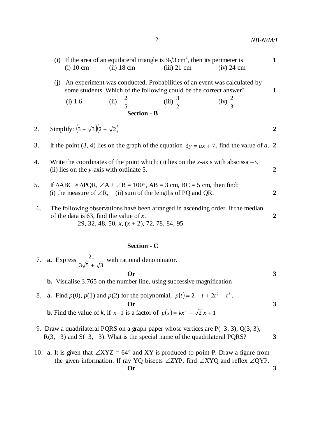|    | (i) |                                          |                                                                                          | If the area of an equilateral triangle is $9\sqrt{3}$ cm <sup>2</sup> , then its perimeter is                                                                                                |                                                                                              | $\mathbf{1}$   |
|----|-----|------------------------------------------|------------------------------------------------------------------------------------------|----------------------------------------------------------------------------------------------------------------------------------------------------------------------------------------------|----------------------------------------------------------------------------------------------|----------------|
|    |     | $(i)$ 10 cm                              | $(ii)$ 18 cm                                                                             | $(iii)$ 21 cm                                                                                                                                                                                | $(iv)$ 24 cm                                                                                 |                |
|    | (j) |                                          |                                                                                          | some students. Which of the following could be the correct answer?                                                                                                                           | An experiment was conducted. Probabilities of an event was calculated by                     | $\mathbf{1}$   |
|    |     | (i) 1.6                                  | (ii) $-\frac{2}{5}$                                                                      | (iii) $\frac{3}{2}$                                                                                                                                                                          | $(iv) \frac{2}{3}$                                                                           |                |
|    |     |                                          | <b>Section - B</b>                                                                       |                                                                                                                                                                                              |                                                                                              |                |
| 2. |     | Simplify: $(3 + \sqrt{3})(2 + \sqrt{2})$ |                                                                                          |                                                                                                                                                                                              |                                                                                              | $\overline{2}$ |
| 3. |     |                                          |                                                                                          |                                                                                                                                                                                              | If the point (3, 4) lies on the graph of the equation $3y = ax + 7$ , find the value of a. 2 |                |
| 4. |     |                                          | (ii) lies on the y-axis with ordinate 5.                                                 |                                                                                                                                                                                              | Write the coordinates of the point which: (i) lies on the x-axis with abscissa $-3$ ,        | $\overline{2}$ |
| 5. |     |                                          |                                                                                          | If $\triangle ABC \cong \triangle PQR$ , $\angle A + \angle B = 100^{\circ}$ , $AB = 3$ cm, $BC = 5$ cm, then find:<br>(i) the measure of $\angle R$ , (ii) sum of the lengths of PQ and QR. |                                                                                              | $\overline{2}$ |
| 6. |     |                                          | of the data is 63, find the value of x.<br>29, 32, 48, 50, x, $(x + 2)$ , 72, 78, 84, 95 |                                                                                                                                                                                              | The following observations have been arranged in ascending order. If the median              | $\overline{2}$ |
|    |     |                                          |                                                                                          |                                                                                                                                                                                              |                                                                                              |                |

# **Section - C**

|    | 7. <b>a.</b> Express $\frac{21}{3\sqrt{5} + \sqrt{3}}$ with rational denominator.                                                                                             |   |
|----|-------------------------------------------------------------------------------------------------------------------------------------------------------------------------------|---|
|    | $\mathbf{O}\mathbf{r}$                                                                                                                                                        | 3 |
|    | <b>b.</b> Visualise 3.765 on the number line, using successive magnification                                                                                                  |   |
| 8. | <b>a.</b> Find $p(0)$ , $p(1)$ and $p(2)$ for the polynomial, $p(t) = 2 + t + 2t^2 - t^3$ .                                                                                   |   |
|    | $O_{r}$                                                                                                                                                                       |   |
|    | <b>b.</b> Find the value of k, if $x-1$ is a factor of $p(x) = kx^2 - \sqrt{2}x + 1$                                                                                          |   |
|    | 9. Draw a quadrilateral PQRS on a graph paper whose vertices are $P(-3, 3)$ , $Q(3, 3)$ ,<br>$R(3, -3)$ and $S(-3, -3)$ . What is the special name of the quadrilateral PQRS? |   |

10. **a.** It is given that  $\angle XYZ = 64^\circ$  and XY is produced to point P. Draw a figure from the given information. If ray YQ bisects  $\angle ZYP$ , find  $\angle XYZ$  and reflex  $\angle QYP$ . **Or 3**

$$
\mathbf{h}(\mathbf{0})
$$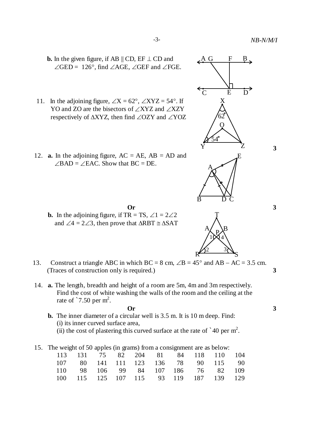

- 11. In the adjoining figure,  $\angle X = 62^\circ$ ,  $\angle XYZ = 54^\circ$ . If YO and ZO are the bisectors of  $\angle$ XYZ and  $\angle$ XZY respectively of  $\triangle XYZ$ , then find  $\angle OZY$  and  $\angle YOZ$
- 12. **a.** In the adjoining figure,  $AC = AE$ ,  $AB = AD$  and  $\angle$ BAD =  $\angle$ EAC. Show that BC = DE.
	- **b.** In the adjoining figure, if TR = TS,  $\angle 1 = 2\angle 2$ and  $\angle 4 = 2\angle 3$ , then prove that  $\triangle RBT \cong \triangle SAT$
- 13. Construct a triangle ABC in which  $BC = 8$  cm,  $\angle B = 45^\circ$  and  $AB AC = 3.5$  cm. (Traces of construction only is required.) **3**
- 14. **a.** The length, breadth and height of a room are 5m, 4m and 3m respectively. Find the cost of white washing the walls of the room and the ceiling at the rate of  $\degree$ 7.50 per m<sup>2</sup>.

**Or 3**

- **b.** The inner diameter of a circular well is 3.5 m. It is 10 m deep. Find: (i) its inner curved surface area, (ii) the cost of plastering this curved surface at the rate of  $\degree$  40 per m<sup>2</sup>.
- 15. The weight of 50 apples (in grams) from a consignment are as below:

|  |  |  | $\blacksquare$ |  |                                        |  |
|--|--|--|----------------|--|----------------------------------------|--|
|  |  |  |                |  | 113 131 75 82 204 81 84 118 110 104    |  |
|  |  |  |                |  | 107 80 141 111 123 136 78 90 115 90    |  |
|  |  |  |                |  | 110 98 106 99 84 107 186 76 82 109     |  |
|  |  |  |                |  | 100 115 125 107 115 93 119 187 139 129 |  |
|  |  |  |                |  |                                        |  |



A

B

P,  $10\sqrt{4}$ 

2 3

S

R

**3**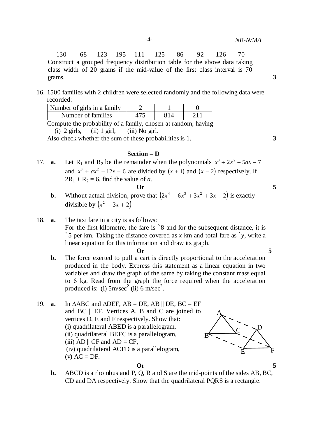130 68 123 195 111 125 86 92 126 70 Construct a grouped frequency distribution table for the above data taking class width of 20 grams if the mid-value of the first class interval is 70 grams. **3**

16. 1500 families with 2 children were selected randomly and the following data were recorded:

| $-$                         |  |  |
|-----------------------------|--|--|
| Number of families          |  |  |
| Number of girls in a family |  |  |

Compute the probability of a family, chosen at random, having (i)  $2$  girls, (ii)  $1$  girl, (iii) No girl.

Also check whether the sum of these probabilities is 1. **3** 

#### **Section – D**

17. **a.** Let R<sub>1</sub> and R<sub>2</sub> be the remainder when the polynomials  $x^3 + 2x^2 - 5ax - 7$ and  $x^3 + ax^2 - 12x + 6$  are divided by  $(x + 1)$  and  $(x - 2)$  respectively. If  $2R_1 + R_2 = 6$ , find the value of *a*. **Or 5**

- **b.** Without actual division, prove that  $(2x^4 6x^3 + 3x^2 + 3x 2)$  is exactly divisible by  $(x^2 - 3x + 2)$
- 18. **a.** The taxi fare in a city is as follows: For the first kilometre, the fare is `8 and for the subsequent distance, it is `5 per km. Taking the distance covered as *x* km and total fare as `*y*, write a linear equation for this information and draw its graph. **Or 5**
	-
	- **b.** The force exerted to pull a cart is directly proportional to the acceleration produced in the body. Express this statement as a linear equation in two variables and draw the graph of the same by taking the constant mass equal to 6 kg. Read from the graph the force required when the acceleration produced is: (i)  $5 \text{ m/sec}^2$  (ii)  $6 \text{ m/sec}^2$ .
- 19. **a.** In  $\triangle ABC$  and  $\triangle DEF$ ,  $AB = DE$ ,  $AB \parallel DE$ ,  $BC = EF$ and BC || EF. Vertices A, B and C are joined to vertices D, E and F respectively. Show that: (i) quadrilateral ABED is a parallelogram, (ii) quadrilateral BEFC is a parallelogram, (iii) AD  $\parallel$  CF and AD = CF, (iv) quadrilateral ACFD is a parallelogram,  $(v) AC = DF.$





**b.** ABCD is a rhombus and P, Q, R and S are the mid-points of the sides AB, BC, CD and DA respectively. Show that the quadrilateral PQRS is a rectangle.